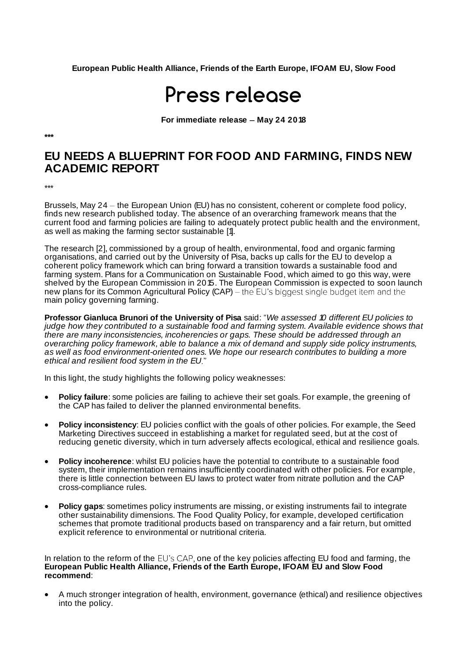**European Public Health Alliance, Friends of the Earth Europe, IFOAM EU, Slow Food** 

## Press release

**For immediate release - May 24 2018** 

**\*\*\***

## **EU NEEDS A BLUEPRINT FOR FOOD AND FARMING, FINDS NEW ACADEMIC REPORT**

\*\*\*

Brussels, May 24 – the European Union (EU) has no consistent, coherent or complete food policy, finds new research published today. The absence of an overarching framework means that the current food and farming policies are failing to adequately protect public health and the environment, as well as making the farming sector sustainable [1].

The research [2], commissioned by a group of health, environmental, food and organic farming organisations, and carried out by the University of Pisa, backs up calls for the EU to develop a coherent policy framework which can bring forward a transition towards a sustainable food and farming system. Plans for a Communication on Sustainable Food, which aimed to go this way, were shelved by the European Commission in 2015. The European Commission is expected to soon launch new plans for its Common Agricultural Policy (CAP) – the EU's biggest single budget item and the main policy governing farming.

**Professor Gianluca Brunori of the University of Pisa** said: "We assessed 10 different EU policies to judge how they contributed to a sustainable food and farming system. Available evidence shows that there are many inconsistencies, incoherencies or gaps. These should be addressed through an overarching policy framework, able to balance a mix of demand and supply side policy instruments, as well as food environment-oriented ones. We hope our research contributes to building a more ethical and resilient food system in the EU.

In this light, the study highlights the following policy weaknesses:

- **Policy failure**: some policies are failing to achieve their set goals. For example, the greening of the CAP has failed to deliver the planned environmental benefits.
- **Policy inconsistency**: EU policies conflict with the goals of other policies. For example, the Seed Marketing Directives succeed in establishing a market for regulated seed, but at the cost of reducing genetic diversity, which in turn adversely affects ecological, ethical and resilience goals.
- **Policy incoherence**: whilst EU policies have the potential to contribute to a sustainable food system, their implementation remains insufficiently coordinated with other policies. For example, there is little connection between EU laws to protect water from nitrate pollution and the CAP cross-compliance rules.
- **Policy gaps**: sometimes policy instruments are missing, or existing instruments fail to integrate other sustainability dimensions. The Food Quality Policy, for example, developed certification schemes that promote traditional products based on transparency and a fair return, but omitted explicit reference to environmental or nutritional criteria.

In relation to the reform of the  $EU$ 's CAP, one of the key policies affecting EU food and farming, the **European Public Health Alliance, Friends of the Earth Europe, IFOAM EU and Slow Food recommend**:

• A much stronger integration of health, environment, governance (ethical) and resilience objectives into the policy.